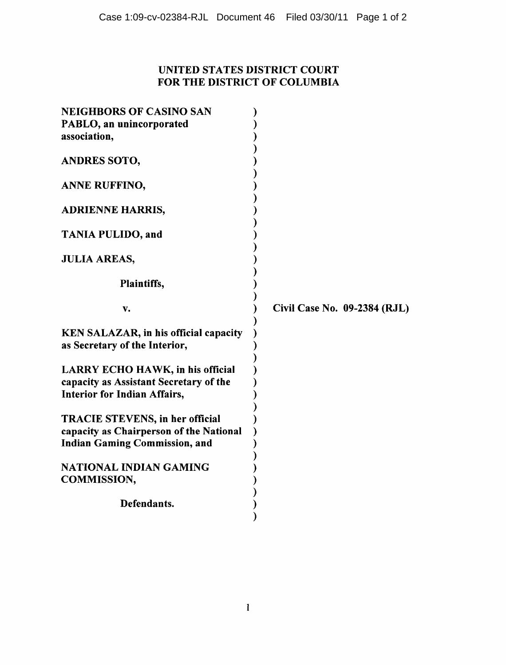## UNITED STATES DISTRICT COURT FOR THE DISTRICT OF COLUMBIA

| <b>NEIGHBORS OF CASINO SAN</b><br>PABLO, an unincorporated                                                                |                              |
|---------------------------------------------------------------------------------------------------------------------------|------------------------------|
| association,                                                                                                              |                              |
| <b>ANDRES SOTO,</b>                                                                                                       |                              |
| ANNE RUFFINO,                                                                                                             |                              |
| <b>ADRIENNE HARRIS,</b>                                                                                                   |                              |
| <b>TANIA PULIDO, and</b>                                                                                                  |                              |
| <b>JULIA AREAS,</b>                                                                                                       |                              |
| Plaintiffs,                                                                                                               |                              |
|                                                                                                                           |                              |
| v.                                                                                                                        | Civil Case No. 09-2384 (RJL) |
| <b>KEN SALAZAR, in his official capacity</b><br>as Secretary of the Interior,                                             |                              |
| <b>LARRY ECHO HAWK, in his official</b><br>capacity as Assistant Secretary of the<br><b>Interior for Indian Affairs,</b>  |                              |
| <b>TRACIE STEVENS, in her official</b><br>capacity as Chairperson of the National<br><b>Indian Gaming Commission, and</b> |                              |
| NATIONAL INDIAN GAMING<br><b>COMMISSION,</b>                                                                              |                              |